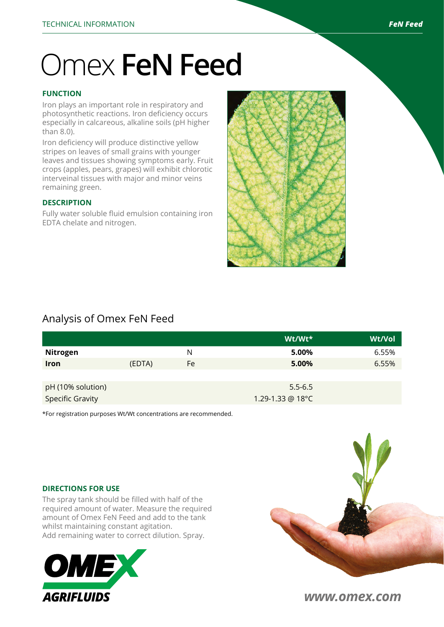# Omex **FeN Feed**

### **FUNCTION**

Iron plays an important role in respiratory and photosynthetic reactions. Iron deficiency occurs especially in calcareous, alkaline soils (pH higher than 8.0).

Iron deficiency will produce distinctive yellow stripes on leaves of small grains with younger leaves and tissues showing symptoms early. Fruit crops (apples, pears, grapes) will exhibit chlorotic interveinal tissues with major and minor veins remaining green.

#### **DESCRIPTION**

Fully water soluble fluid emulsion containing iron EDTA chelate and nitrogen.



# Analysis of Omex FeN Feed

|                         |        |    | Wt/Wt*           | Wt/Vol |
|-------------------------|--------|----|------------------|--------|
| Nitrogen                |        | N  | 5.00%            | 6.55%  |
| <b>Iron</b>             | (EDTA) | Fe | 5.00%            | 6.55%  |
|                         |        |    |                  |        |
| pH (10% solution)       |        |    | $5.5 - 6.5$      |        |
| <b>Specific Gravity</b> |        |    | 1.29-1.33 @ 18°C |        |

\*For registration purposes Wt/Wt concentrations are recommended.

#### **DIRECTIONS FOR USE**

The spray tank should be filled with half of the required amount of water. Measure the required amount of Omex FeN Feed and add to the tank whilst maintaining constant agitation. Add remaining water to correct dilution. Spray.